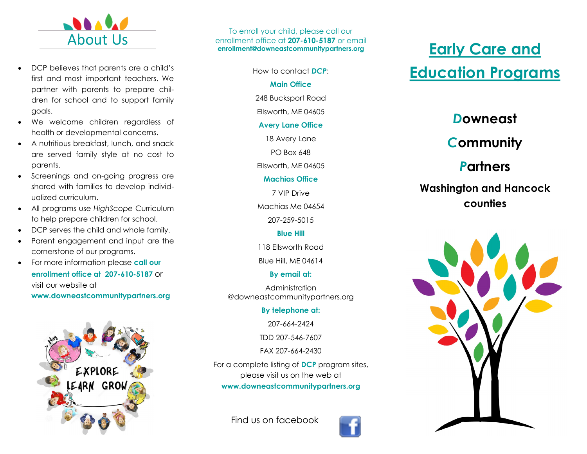

- DCP believes that parents are a child's first and most important teachers. We partner with parents to prepare children for school and to support family goals.
- We welcome children regardless of health or developmental concerns.
- A nutritious breakfast, lunch, and snack are served family style at no cost to parents.
- Screenings and on-going progress are shared with families to develop individualized curriculum.
- All programs use *HighScope* Curriculum to help prepare children for school.
- DCP serves the child and whole family.
- Parent engagement and input are the cornerstone of our programs.
- For more information please **call our enrollment office at 207-610-5187** or visit our website at **www.downeastcommunitypartners.org**



To enroll your child, please call our enrollment office at **207-610-5187** or email **enrollment@downeastcommunitypartners.org**

> How to contact *DCP*: **Main Office** 248 Bucksport Road Ellsworth, ME 04605 **Avery Lane Office** 18 Avery Lane

> > PO Box 648

Ellsworth, ME 04605

#### **Machias Office**

7 VIP Drive

Machias Me 04654

207-259-5015

### **Blue Hill**

118 Ellsworth Road

Blue Hill, ME 04614

### **By email at:**

Administration @downeastcommunitypartners.org

### **By telephone at:**

207-664-2424

TDD 207-546-7607

FAX 207-664-2430

For a complete listing of **DCP** program sites, please visit us on the web at **www.downeastcommunitypartners.org**

Find us on facebook



# **Early Care and Education Programs**

### *D***owneast**

## *C***ommunity**

### *P***artners**

### **Washington and Hancock counties**